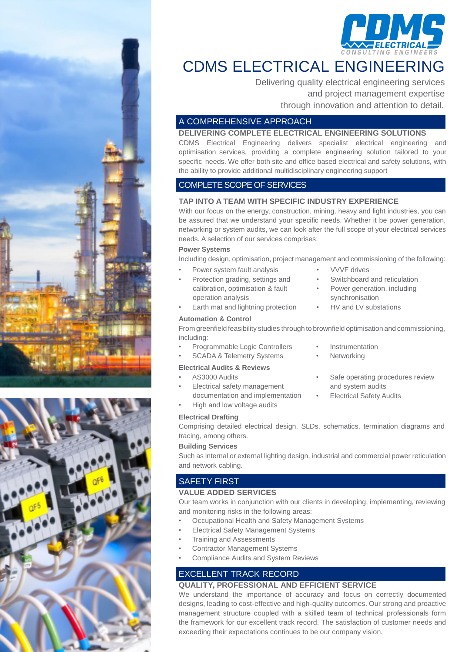

## CDMS ELECTRICAL ENGINEERING

Delivering quality electrical engineering services and project management expertise through innovation and attention to detail.

### A COMPREHENSIVE APPROACH

#### **DELIVERING COMPLETE ELECTRICAL ENGINEERING SOLUTIONS**

CDMS Electrical Engineering delivers specialist electrical engineering and optimisation services, providing a complete engineering solution tailored to your specific needs. We offer both site and office based electrical and safety solutions, with the ability to provide additional multidisciplinary engineering support

### COMPLETE SCOPE OF SERVICES

#### **TAP INTO A TEAM WITH SPECIFIC INDUSTRY EXPERIENCE**

With our focus on the energy, construction, mining, heavy and light industries, you can be assured that we understand your specific needs. Whether it be power generation, networking or system audits, we can look after the full scope of your electrical services needs. A selection of our services comprises:

#### **Power Systems**

Including design, optimisation, project management and commissioning of the following:

- Power system fault analysis
- Protection grading, settings and calibration, optimisation & fault operation analysis
- Earth mat and lightning protection

#### **Automation & Control**

From greenfield feasibility studies through to brownfield optimisation and commissioning, including:

- Programmable Logic Controllers
- SCADA & Telemetry Systems

#### **Electrical Audits & Reviews**

- AS3000 Audits
- Electrical safety management
- documentation and implementation
- High and low voltage audits
- **Electrical Drafting**

Comprising detailed electrical design, SLDs, schematics, termination diagrams and tracing, among others.

#### **Building Services**

Such as internal or external lighting design, industrial and commercial power reticulation and network cabling.

## SAFETY FIRST

#### **VALUE ADDED SERVICES**

Our team works in conjunction with our clients in developing, implementing, reviewing and monitoring risks in the following areas:

- Occupational Health and Safety Management Systems
- Electrical Safety Management Systems
- Training and Assessments
- Contractor Management Systems
- Compliance Audits and System Reviews

## EXCELLENT TRACK RECORD

#### **QUALITY, PROFESSIONAL AND EFFICIENT SERVICE**

We understand the importance of accuracy and focus on correctly documented designs, leading to cost-effective and high-quality outcomes. Our strong and proactive management structure coupled with a skilled team of technical professionals form the framework for our excellent track record. The satisfaction of customer needs and exceeding their expectations continues to be our company vision.



- VVVF drives
- Switchboard and reticulation
- Power generation, including synchronisation
- HV and LV substations
- **Instrumentation**
- **Networking**
- Safe operating procedures review and system audits
- **Electrical Safety Audits**